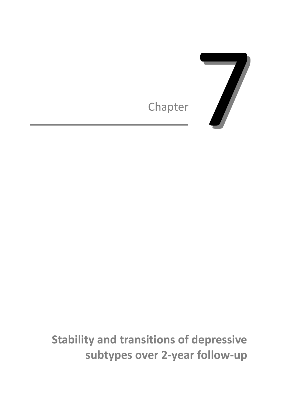



**Stability and transitions of depressive subtypes over 2-year follow-up**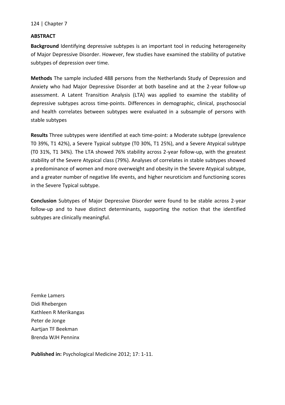#### **ABSTRACT**

**Background** Identifying depressive subtypes is an important tool in reducing heterogeneity of Major Depressive Disorder. However, few studies have examined the stability of putative subtypes of depression over time.

**Methods** The sample included 488 persons from the Netherlands Study of Depression and Anxiety who had Major Depressive Disorder at both baseline and at the 2-year follow-up assessment. A Latent Transition Analysis (LTA) was applied to examine the stability of depressive subtypes across time-points. Differences in demographic, clinical, psychosocial and health correlates between subtypes were evaluated in a subsample of persons with stable subtypes

**Results** Three subtypes were identified at each time-point: a Moderate subtype (prevalence T0 39%, T1 42%), a Severe Typical subtype (T0 30%, T1 25%), and a Severe Atypical subtype (T0 31%, T1 34%). The LTA showed 76% stability across 2-year follow-up, with the greatest stability of the Severe Atypical class (79%). Analyses of correlates in stable subtypes showed a predominance of women and more overweight and obesity in the Severe Atypical subtype, and a greater number of negative life events, and higher neuroticism and functioning scores in the Severe Typical subtype.

**Conclusion** Subtypes of Major Depressive Disorder were found to be stable across 2-year follow-up and to have distinct determinants, supporting the notion that the identified subtypes are clinically meaningful.

Femke Lamers Didi Rhebergen Kathleen R Merikangas Peter de Jonge Aartjan TF Beekman Brenda WJH Penninx

**Published in:** Psychological Medicine 2012; 17: 1-11.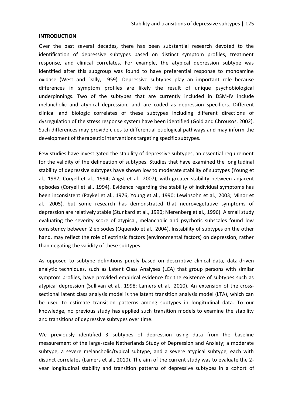### **INTRODUCTION**

Over the past several decades, there has been substantial research devoted to the identification of depressive subtypes based on distinct symptom profiles, treatment response, and clinical correlates. For example, the atypical depression subtype was identified after this subgroup was found to have preferential response to monoamine oxidase (West and Dally, 1959). Depressive subtypes play an important role because differences in symptom profiles are likely the result of unique psychobiological underpinnings. Two of the subtypes that are currently included in DSM-IV include melancholic and atypical depression, and are coded as depression specifiers. Different clinical and biologic correlates of these subtypes including different directions of dysregulation of the stress response system have been identified (Gold and Chrousos, 2002). Such differences may provide clues to differential etiological pathways and may inform the development of therapeutic interventions targeting specific subtypes.

Few studies have investigated the stability of depressive subtypes, an essential requirement for the validity of the delineation of subtypes. Studies that have examined the longitudinal stability of depressive subtypes have shown low to moderate stability of subtypes (Young et al., 1987; Coryell et al., 1994; Angst et al., 2007), with greater stability between adjacent episodes (Coryell et al., 1994). Evidence regarding the stability of individual symptoms has been inconsistent (Paykel et al., 1976; Young et al., 1990; Lewinsohn et al., 2003; Minor et al., 2005), but some research has demonstrated that neurovegetative symptoms of depression are relatively stable (Stunkard et al., 1990; Nierenberg et al., 1996). A small study evaluating the severity score of atypical, melancholic and psychotic subscales found low consistency between 2 episodes (Oquendo et al., 2004). Instability of subtypes on the other hand, may reflect the role of extrinsic factors (environmental factors) on depression, rather than negating the validity of these subtypes.

As opposed to subtype definitions purely based on descriptive clinical data, data-driven analytic techniques, such as Latent Class Analyses (LCA) that group persons with similar symptom profiles, have provided empirical evidence for the existence of subtypes such as atypical depression (Sullivan et al., 1998; Lamers et al., 2010). An extension of the crosssectional latent class analysis model is the latent transition analysis model (LTA), which can be used to estimate transition patterns among subtypes in longitudinal data. To our knowledge, no previous study has applied such transition models to examine the stability and transitions of depressive subtypes over time.

We previously identified 3 subtypes of depression using data from the baseline measurement of the large-scale Netherlands Study of Depression and Anxiety; a moderate subtype, a severe melancholic/typical subtype, and a severe atypical subtype, each with distinct correlates (Lamers et al., 2010). The aim of the current study was to evaluate the 2 year longitudinal stability and transition patterns of depressive subtypes in a cohort of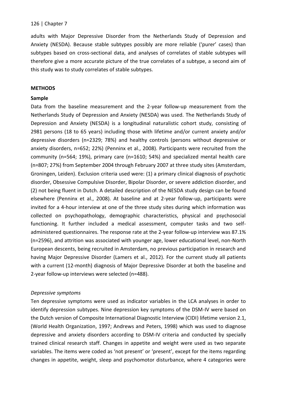adults with Major Depressive Disorder from the Netherlands Study of Depression and Anxiety (NESDA). Because stable subtypes possibly are more reliable ('purer' cases) than subtypes based on cross-sectional data, and analyses of correlates of stable subtypes will therefore give a more accurate picture of the true correlates of a subtype, a second aim of this study was to study correlates of stable subtypes.

# **METHODS**

# **Sample**

Data from the baseline measurement and the 2-year follow-up measurement from the Netherlands Study of Depression and Anxiety (NESDA) was used. The Netherlands Study of Depression and Anxiety (NESDA) is a longitudinal naturalistic cohort study, consisting of 2981 persons (18 to 65 years) including those with lifetime and/or current anxiety and/or depressive disorders (n=2329; 78%) and healthy controls (persons without depressive or anxiety disorders, n=652; 22%) (Penninx et al., 2008). Participants were recruited from the community (n=564; 19%), primary care (n=1610; 54%) and specialized mental health care (n=807; 27%) from September 2004 through February 2007 at three study sites (Amsterdam, Groningen, Leiden). Exclusion criteria used were: (1) a primary clinical diagnosis of psychotic disorder, Obsessive Compulsive Disorder, Bipolar Disorder, or severe addiction disorder, and (2) not being fluent in Dutch. A detailed description of the NESDA study design can be found elsewhere (Penninx et al., 2008). At baseline and at 2-year follow-up, participants were invited for a 4-hour interview at one of the three study sites during which information was collected on psychopathology, demographic characteristics, physical and psychosocial functioning. It further included a medical assessment, computer tasks and two selfadministered questionnaires. The response rate at the 2-year follow-up interview was 87.1% (n=2596), and attrition was associated with younger age, lower educational level, non-North European descents, being recruited in Amsterdam, no previous participation in research and having Major Depressive Disorder (Lamers et al., 2012). For the current study all patients with a current (12-month) diagnosis of Major Depressive Disorder at both the baseline and 2-year follow-up interviews were selected (n=488).

## *Depressive symptoms*

Ten depressive symptoms were used as indicator variables in the LCA analyses in order to identify depression subtypes. Nine depression key symptoms of the DSM-IV were based on the Dutch version of Composite International Diagnostic Interview (CIDI) lifetime version 2.1, (World Health Organization, 1997; Andrews and Peters, 1998) which was used to diagnose depressive and anxiety disorders according to DSM-IV criteria and conducted by specially trained clinical research staff. Changes in appetite and weight were used as two separate variables. The items were coded as 'not present' or 'present', except for the items regarding changes in appetite, weight, sleep and psychomotor disturbance, where 4 categories were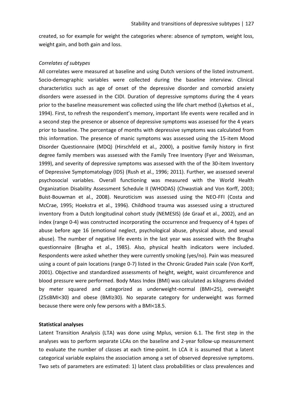created, so for example for weight the categories where: absence of symptom, weight loss, weight gain, and both gain and loss.

#### *Correlates of subtypes*

All correlates were measured at baseline and using Dutch versions of the listed instrument. Socio-demographic variables were collected during the baseline interview. Clinical characteristics such as age of onset of the depressive disorder and comorbid anxiety disorders were assessed in the CIDI. Duration of depressive symptoms during the 4 years prior to the baseline measurement was collected using the life chart method (Lyketsos et al., 1994). First, to refresh the respondent's memory, important life events were recalled and in a second step the presence or absence of depressive symptoms was assessed for the 4 years prior to baseline. The percentage of months with depressive symptoms was calculated from this information. The presence of manic symptoms was assessed using the 15-item Mood Disorder Questionnaire (MDQ) (Hirschfeld et al., 2000), a positive family history in first degree family members was assessed with the Family Tree Inventory (Fyer and Weissman, 1999), and severity of depressive symptoms was assessed with the of the 30-item Inventory of Depressive Symptomatology (IDS) (Rush et al., 1996; 2011). Further, we assessed several psychosocial variables. Overall functioning was measured with the World Health Organization Disability Assessment Schedule II (WHODAS) (Chwastiak and Von Korff, 2003; Buist-Bouwman et al., 2008). Neuroticism was assessed using the NEO-FFI (Costa and McCrae, 1995; Hoekstra et al., 1996). Childhood trauma was assessed using a structured inventory from a Dutch longitudinal cohort study (NEMESIS) (de Graaf et al., 2002), and an index (range 0-4) was constructed incorporating the occurrence and frequency of 4 types of abuse before age 16 (emotional neglect, psychological abuse, physical abuse, and sexual abuse). The number of negative life events in the last year was assessed with the Brugha questionnaire (Brugha et al., 1985). Also, physical health indicators were included. Respondents were asked whether they were currently smoking (yes/no). Pain was measured using a count of pain locations (range 0-7) listed in the Chronic Graded Pain scale (Von Korff, 2001). Objective and standardized assessments of height, weight, waist circumference and blood pressure were performed. Body Mass Index (BMI) was calculated as kilograms divided by meter squared and categorized as underweight-normal (BMI<25), overweight (25≤BMI<30) and obese (BMI≥30). No separate category for underweight was formed because there were only few persons with a BMI<18.5.

#### **Statistical analyses**

Latent Transition Analysis (LTA) was done using Mplus, version 6.1. The first step in the analyses was to perform separate LCAs on the baseline and 2-year follow-up measurement to evaluate the number of classes at each time-point. In LCA it is assumed that a latent categorical variable explains the association among a set of observed depressive symptoms. Two sets of parameters are estimated: 1) latent class probabilities or class prevalences and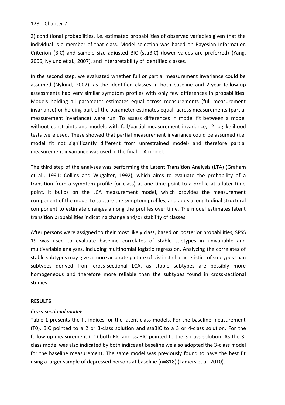2) conditional probabilities, i.e. estimated probabilities of observed variables given that the individual is a member of that class. Model selection was based on Bayesian Information Criterion (BIC) and sample size adjusted BIC (ssaBIC) (lower values are preferred) (Yang, 2006; Nylund et al., 2007), and interpretability of identified classes.

In the second step, we evaluated whether full or partial measurement invariance could be assumed (Nylund, 2007), as the identified classes in both baseline and 2-year follow-up assessments had very similar symptom profiles with only few differences in probabilities. Models holding all parameter estimates equal across measurements (full measurement invariance) or holding part of the parameter estimates equal across measurements (partial measurement invariance) were run. To assess differences in model fit between a model without constraints and models with full/partial measurement invariance, -2 loglikelihood tests were used. These showed that partial measurement invariance could be assumed (i.e. model fit not significantly different from unrestrained model) and therefore partial measurement invariance was used in the final LTA model.

The third step of the analyses was performing the Latent Transition Analysis (LTA) (Graham et al., 1991; Collins and Wugalter, 1992), which aims to evaluate the probability of a transition from a symptom profile (or class) at one time point to a profile at a later time point. It builds on the LCA measurement model, which provides the measurement component of the model to capture the symptom profiles, and adds a longitudinal structural component to estimate changes among the profiles over time. The model estimates latent transition probabilities indicating change and/or stability of classes.

After persons were assigned to their most likely class, based on posterior probabilities, SPSS 19 was used to evaluate baseline correlates of stable subtypes in univariable and multivariable analyses, including multinomial logistic regression. Analyzing the correlates of stable subtypes may give a more accurate picture of distinct characteristics of subtypes than subtypes derived from cross-sectional LCA, as stable subtypes are possibly more homogeneous and therefore more reliable than the subtypes found in cross-sectional studies.

## **RESULTS**

## *Cross-sectional models*

Table 1 presents the fit indices for the latent class models. For the baseline measurement (T0), BIC pointed to a 2 or 3-class solution and ssaBIC to a 3 or 4-class solution. For the follow-up measurement (T1) both BIC and ssaBIC pointed to the 3-class solution. As the 3 class model was also indicated by both indices at baseline we also adopted the 3-class model for the baseline measurement. The same model was previously found to have the best fit using a larger sample of depressed persons at baseline (n=818) (Lamers et al. 2010).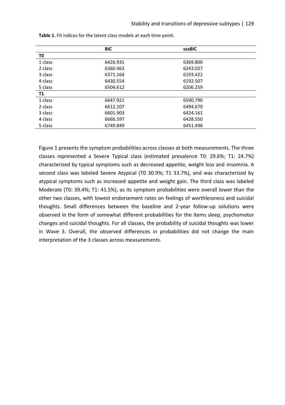|         | <b>BIC</b> | ssaBIC   |  |
|---------|------------|----------|--|
| T0      |            |          |  |
| 1 class | 6426.931   | 6369.800 |  |
| 2 class | 6360.463   | 6243.027 |  |
| 3 class | 6371.164   | 6193.422 |  |
| 4 class | 6430.554   | 6192.507 |  |
| 5 class | 6504.612   | 6206.259 |  |
| T1      |            |          |  |
| 1 class | 6647.921   | 6590.790 |  |
| 2 class | 6612.107   | 6494.670 |  |
| 3 class | 6601.903   | 6424.161 |  |
| 4 class | 6666.597   | 6428.550 |  |
| 5 class | 6749.849   | 6451.496 |  |

**Table 1**. Fit indices for the latent class models at each time point.

Figure 1 presents the symptom probabilities across classes at both measurements. The three classes represented a Severe Typical class (estimated prevalence T0: 29.6%; T1: 24.7%) characterized by typical symptoms such as decreased appetite, weight loss and insomnia. A second class was labeled Severe Atypical (T0 30.9%; T1 33.7%), and was characterized by atypical symptoms such as increased appetite and weight gain. The third class was labeled Moderate (T0: 39.4%; T1: 41.5%), as its symptom probabilities were overall lower than the other two classes, with lowest endorsement rates on feelings of worthlessness and suicidal thoughts. Small differences between the baseline and 2-year follow-up solutions were observed in the form of somewhat different probabilities for the items sleep, psychomotor changes and suicidal thoughts. For all classes, the probability of suicidal thoughts was lower in Wave 3. Overall, the observed differences in probabilities did not change the main interpretation of the 3 classes across measurements.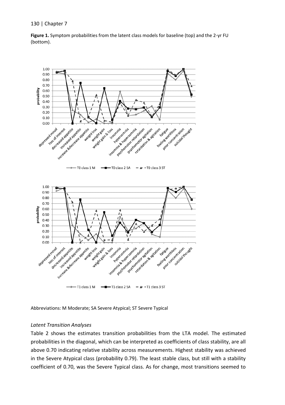



Abbreviations: M Moderate; SA Severe Atypical; ST Severe Typical

## *Latent Transition Analyses*

Table 2 shows the estimates transition probabilities from the LTA model. The estimated probabilities in the diagonal, which can be interpreted as coefficients of class stability, are all above 0.70 indicating relative stability across measurements. Highest stability was achieved in the Severe Atypical class (probability 0.79). The least stable class, but still with a stability coefficient of 0.70, was the Severe Typical class. As for change, most transitions seemed to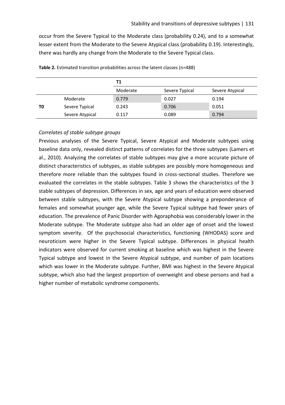occur from the Severe Typical to the Moderate class (probability 0.24), and to a somewhat lesser extent from the Moderate to the Severe Atypical class (probability 0.19). Interestingly, there was hardly any change from the Moderate to the Severe Typical class.

|    |                 | Τ1       |                |                 |  |
|----|-----------------|----------|----------------|-----------------|--|
|    |                 | Moderate | Severe Typical | Severe Atypical |  |
|    | Moderate        | 0.779    | 0.027          | 0.194           |  |
| TO | Severe Typical  | 0.243    | 0.706          | 0.051           |  |
|    | Severe Atypical | 0.117    | 0.089          | 0.794           |  |

Table 2. Estimated transition probabilities across the latent classes (n=488)

# *Correlates of stable subtype groups*

Previous analyses of the Severe Typical, Severe Atypical and Moderate subtypes using baseline data only, revealed distinct patterns of correlates for the three subtypes (Lamers et al., 2010). Analyzing the correlates of stable subtypes may give a more accurate picture of distinct characteristics of subtypes, as stable subtypes are possibly more homogeneous and therefore more reliable than the subtypes found in cross-sectional studies. Therefore we evaluated the correlates in the stable subtypes. Table 3 shows the characteristics of the 3 stable subtypes of depression. Differences in sex, age and years of education were observed between stable subtypes, with the Severe Atypical subtype showing a preponderance of females and somewhat younger age, while the Severe Typical subtype had fewer years of education. The prevalence of Panic Disorder with Agoraphobia was considerably lower in the Moderate subtype. The Moderate subtype also had an older age of onset and the lowest symptom severity. Of the psychosocial characteristics, functioning (WHODAS) score and neuroticism were higher in the Severe Typical subtype. Differences in physical health indicators were observed for current smoking at baseline which was highest in the Severe Typical subtype and lowest in the Severe Atypical subtype, and number of pain locations which was lower in the Moderate subtype. Further, BMI was highest in the Severe Atypical subtype, which also had the largest proportion of overweight and obese persons and had a higher number of metabolic syndrome components.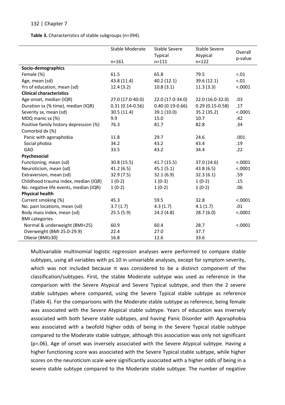**Table 3.** Characteristics of stable subgroups (n=394).

| <b>Typical</b><br>Atypical<br>p-value<br>$n = 161$<br>$n = 111$<br>$n = 122$                                 |  |
|--------------------------------------------------------------------------------------------------------------|--|
|                                                                                                              |  |
|                                                                                                              |  |
| Socio-demographics                                                                                           |  |
| Female (%)<br>61.5<br>65.8<br>79.5<br>< 0.01                                                                 |  |
| 43.8 (11.4)<br>40.2 (12.1)<br>39.6 (12.1)<br>< 0.01<br>Age, mean (sd)                                        |  |
| Yrs of education, mean (sd)<br>12.4(3.2)<br>10.8(3.1)<br>11.3(3.3)<br>< .0001                                |  |
| <b>Clinical characteristics</b>                                                                              |  |
| Age onset, median (IQR)<br>27.0 (17.0-40.0)<br>22.0 (17.0-34.0)<br>22.0 (16.0-32.0)<br>.03                   |  |
| $0.40(0.19 - 0.66)$<br>Duration sx (% time), median (IQR)<br>$0.31(0.14 - 0.56)$<br>$0.29(0.15-0.58)$<br>.17 |  |
| Severity sx, mean (sd)<br>39.1 (10.0)<br>< .0001<br>30.5(11.4)<br>35.2 (35.2)                                |  |
| 9.9<br>MDQ manic sx (%)<br>15.0<br>.42<br>10.7                                                               |  |
| Positive family history depression (%)<br>76.3<br>81.7<br>82.8<br>.34                                        |  |
| Comorbid dx (%)                                                                                              |  |
| Panic with agoraphobia<br>11.8<br>29.7<br>.001<br>24.6                                                       |  |
| Social phobia<br>34.2<br>43.2<br>43.4<br>.19                                                                 |  |
| GAD<br>33.5<br>43.2<br>.22<br>34.4                                                                           |  |
| Psychosocial                                                                                                 |  |
| Functioning, mean (sd)<br>30.8(15.5)<br>37.0 (14.6)<br>< .0001<br>41.7 (15.5)                                |  |
| Neuroticism, mean (sd)<br>41.2(6.5)<br>45.1(5.1)<br>43.8(6.5)<br>< .0001                                     |  |
| Extraversion, mean (sd)<br>32.9(7.5)<br>32.1(6.9)<br>32.3(6.1)<br>.59                                        |  |
| Childhood trauma index, median (IQR)<br>$1(0-2)$<br>$1(0-3)$<br>$1(0-2)$<br>.15                              |  |
| No. negative life events, median (IQR)<br>$1(0-2)$<br>$1(0-2)$<br>$1(0-2)$<br>.06                            |  |
| <b>Physical health</b>                                                                                       |  |
| Current smoking (%)<br>45.3<br>< .0001<br>59.5<br>32.8                                                       |  |
| No. pain locations, mean (sd)<br>3.7(1.7)<br>4.3(1.7)<br>4.1(1.7)<br>.01                                     |  |
| Body mass index, mean (sd)<br>< .0001<br>25.5(5.9)<br>24.2 (4.8)<br>28.7(6.0)                                |  |
| <b>BMI</b> categories                                                                                        |  |
| Normal & underweight (BMI<25)<br>< .0001<br>60.9<br>60.4<br>28.7                                             |  |
| Overweight (BMI 25.0-29.9)<br>22.4<br>27.0<br>37.7                                                           |  |
| Obese (BMI≥30)<br>16.8<br>12.6<br>33.6                                                                       |  |

Multivariable multinomial logistic regression analyses were performed to compare stable subtypes, using all variables with p≤.10 in univariable analyses, except for symptom severity, which was not included because it was considered to be a distinct component of the classification/subtypes. First, the stable Moderate subtype was used as reference in the comparison with the Severe Atypical and Severe Typical subtype, and then the 2 severe stable subtypes where compared, using the Severe Typical stable subtype as reference (Table 4). For the comparisons with the Moderate stable subtype as reference, being female was associated with the Severe Atypical stable subtype. Years of education was inversely associated with both Severe stable subtypes, and having Panic Disorder with Agoraphobia was associated with a twofold higher odds of being in the Severe Typical stable subtype compared to the Moderate stable subtype, although this association was only not significant (p=.06). Age of onset was inversely associated with the Severe Atypical subtype. Having a higher functioning score was associated with the Severe Typical stable subtype, while higher scores on the neuroticism scale were significantly associated with a higher odds of being in a severe stable subtype compared to the Moderate stable subtype. The number of negative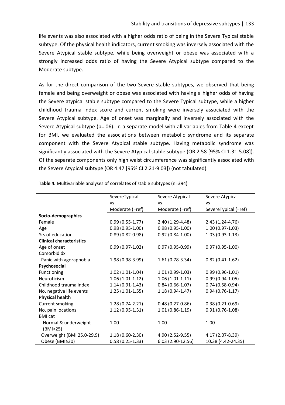life events was also associated with a higher odds ratio of being in the Severe Typical stable subtype. Of the physical health indicators, current smoking was inversely associated with the Severe Atypical stable subtype, while being overweight or obese was associated with a strongly increased odds ratio of having the Severe Atypical subtype compared to the Moderate subtype.

As for the direct comparison of the two Severe stable subtypes, we observed that being female and being overweight or obese was associated with having a higher odds of having the Severe atypical stable subtype compared to the Severe Typical subtype, while a higher childhood trauma index score and current smoking were inversely associated with the Severe Atypical subtype. Age of onset was marginally and inversely associated with the Severe Atypical subtype (p=.06). In a separate model with all variables from Table 4 except for BMI, we evaluated the associations between metabolic syndrome and its separate component with the Severe Atypical stable subtype. Having metabolic syndrome was significantly associated with the Severe Atypical stable subtype (OR 2.58 [95% CI 1.31-5.08]). Of the separate components only high waist circumference was significantly associated with the Severe Atypical subtype (OR 4.47 [95% CI 2.21-9.03]) (not tabulated).

|                                 | SevereTypical       | Severe Atypical   | Severe Atypical      |
|---------------------------------|---------------------|-------------------|----------------------|
|                                 | VS                  | <b>VS</b>         | VS                   |
|                                 | Moderate (=ref)     | Moderate (=ref)   | SevereTypical (=ref) |
| Socio-demographics              |                     |                   |                      |
| Female                          | $0.99(0.55-1.77)$   | 2.40 (1.29-4.48)  | 2.43 (1.24-4.76)     |
| Age                             | $0.98(0.95-1.00)$   | $0.98(0.95-1.00)$ | $1.00(0.97-1.03)$    |
| Yrs of education                | $0.89(0.82 - 0.98)$ | $0.92(0.84-1.00)$ | $1.03(0.93-1.13)$    |
| <b>Clinical characteristics</b> |                     |                   |                      |
| Age of onset                    | $0.99(0.97-1.02)$   | $0.97(0.95-0.99)$ | $0.97(0.95-1.00)$    |
| Comorbid dx                     |                     |                   |                      |
| Panic with agoraphobia          | 1.98 (0.98-3.99)    | $1.61(0.78-3.34)$ | $0.82(0.41-1.62)$    |
| Psychosocial                    |                     |                   |                      |
| Functioning                     | $1.02(1.01-1.04)$   | $1.01(0.99-1.03)$ | $0.99(0.96-1.01)$    |
| Neuroticism                     | $1.06(1.01-1.12)$   | $1.06(1.01-1.11)$ | $0.99(0.94-1.05)$    |
| Childhood trauma index          | $1.14(0.91-1.43)$   | $0.84(0.66-1.07)$ | $0.74(0.58-0.94)$    |
| No. negative life events        | $1.25(1.01-1.55)$   | $1.18(0.94-1.47)$ | $0.94(0.76-1.17)$    |
| <b>Physical health</b>          |                     |                   |                      |
| Current smoking                 | $1.28(0.74-2.21)$   | $0.48(0.27-0.86)$ | $0.38(0.21-0.69)$    |
| No. pain locations              | 1.12 (0.95-1.31)    | $1.01(0.86-1.19)$ | $0.91(0.76-1.08)$    |
| <b>BMI</b> cat                  |                     |                   |                      |
| Normal & underweight            | 1.00                | 1.00              | 1.00                 |
| (BMI<25)                        |                     |                   |                      |
| Overweight (BMI 25.0-29.9)      | $1.18(0.60-2.30)$   | 4.90 (2.52-9.55)  | 4.17 (2.07-8.39)     |
| Obese (BMI≥30)                  | $0.58(0.25-1.33)$   | 6.03 (2.90-12.56) | 10.38 (4.42-24.35)   |

**Table 4.** Multivariable analyses of correlates of stable subtypes (n=394)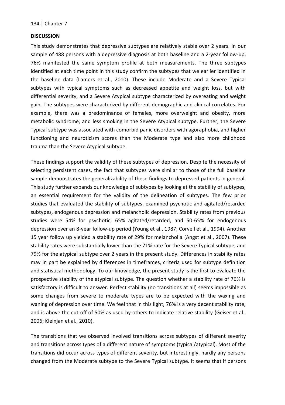#### **DISCUSSION**

This study demonstrates that depressive subtypes are relatively stable over 2 years. In our sample of 488 persons with a depressive diagnosis at both baseline and a 2-year follow-up, 76% manifested the same symptom profile at both measurements. The three subtypes identified at each time point in this study confirm the subtypes that we earlier identified in the baseline data (Lamers et al., 2010). These include Moderate and a Severe Typical subtypes with typical symptoms such as decreased appetite and weight loss, but with differential severity, and a Severe Atypical subtype characterized by overeating and weight gain. The subtypes were characterized by different demographic and clinical correlates. For example, there was a predominance of females, more overweight and obesity, more metabolic syndrome, and less smoking in the Severe Atypical subtype. Further, the Severe Typical subtype was associated with comorbid panic disorders with agoraphobia, and higher functioning and neuroticism scores than the Moderate type and also more childhood trauma than the Severe Atypical subtype.

These findings support the validity of these subtypes of depression. Despite the necessity of selecting persistent cases, the fact that subtypes were similar to those of the full baseline sample demonstrates the generalizability of these findings to depressed patients in general. This study further expands our knowledge of subtypes by looking at the stability of subtypes, an essential requirement for the validity of the delineation of subtypes. The few prior studies that evaluated the stability of subtypes, examined psychotic and agitated/retarded subtypes, endogenous depression and melancholic depression. Stability rates from previous studies were 54% for psychotic, 65% agitated/retarded, and 50-65% for endogenous depression over an 8-year follow-up period (Young et al., 1987; Coryell et al., 1994). Another 15 year follow up yielded a stability rate of 29% for melancholia (Angst et al., 2007). These stability rates were substantially lower than the 71% rate for the Severe Typical subtype, and 79% for the atypical subtype over 2 years in the present study. Differences in stability rates may in part be explained by differences in timeframes, criteria used for subtype definition and statistical methodology. To our knowledge, the present study is the first to evaluate the prospective stability of the atypical subtype. The question whether a stability rate of 76% is satisfactory is difficult to answer. Perfect stability (no transitions at all) seems impossible as some changes from severe to moderate types are to be expected with the waxing and waning of depression over time. We feel that in this light, 76% is a very decent stability rate, and is above the cut-off of 50% as used by others to indicate relative stability (Geiser et al., 2006; Kleinjan et al., 2010).

The transitions that we observed involved transitions across subtypes of different severity and transitions across types of a different nature of symptoms (typical/atypical). Most of the transitions did occur across types of different severity, but interestingly, hardly any persons changed from the Moderate subtype to the Severe Typical subtype. It seems that if persons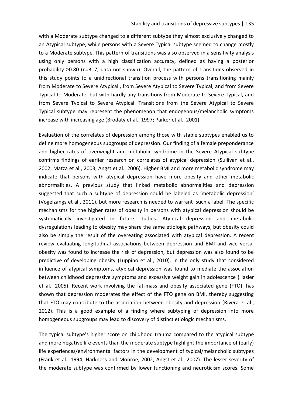with a Moderate subtype changed to a different subtype they almost exclusively changed to an Atypical subtype, while persons with a Severe Typical subtype seemed to change mostly to a Moderate subtype. This pattern of transitions was also observed in a sensitivity analysis using only persons with a high classification accuracy, defined as having a posterior probability ≥0.80 (n=317, data not shown). Overall, the pattern of transitions observed in this study points to a unidirectional transition process with persons transitioning mainly from Moderate to Severe Atypical , from Severe Atypical to Severe Typical, and from Severe Typical to Moderate, but with hardly any transitions from Moderate to Severe Typical, and from Severe Typical to Severe Atypical. Transitions from the Severe Atypical to Severe Typical subtype may represent the phenomenon that endogenous/melancholic symptoms increase with increasing age (Brodaty et al., 1997; Parker et al., 2001).

Evaluation of the correlates of depression among those with stable subtypes enabled us to define more homogeneous subgroups of depression. Our finding of a female preponderance and higher rates of overweight and metabolic syndrome in the Severe Atypical subtype confirms findings of earlier research on correlates of atypical depression (Sullivan et al., 2002; Matza et al., 2003; Angst et al., 2006). Higher BMI and more metabolic syndrome may indicate that persons with atypical depression have more obesity and other metabolic abnormalities. A previous study that linked metabolic abnormalities and depression suggested that such a subtype of depression could be labeled as 'metabolic depression' (Vogelzangs et al., 2011), but more research is needed to warrant such a label. The specific mechanisms for the higher rates of obesity in persons with atypical depression should be systematically investigated in future studies. Atypical depression and metabolic dysregulations leading to obesity may share the same etiologic pathways, but obesity could also be simply the result of the overeating associated with atypical depression. A recent review evaluating longitudinal associations between depression and BMI and vice versa, obesity was found to increase the risk of depression, but depression was also found to be predictive of developing obesity (Luppino et al., 2010). In the only study that considered influence of atypical symptoms, atypical depression was found to mediate the association between childhood depressive symptoms and excessive weight gain in adolescence (Hasler et al., 2005). Recent work involving the fat-mass and obesity associated gene (FTO), has shown that depression moderates the effect of the FTO gene on BMI, thereby suggesting that FTO may contribute to the association between obesity and depression (Rivera et al., 2012). This is a good example of a finding where subtyping of depression into more homogeneous subgroups may lead to discovery of distinct etiologic mechanisms.

The typical subtype's higher score on childhood trauma compared to the atypical subtype and more negative life events than the moderate subtype highlight the importance of (early) life experiences/environmental factors in the development of typical/melancholic subtypes (Frank et al., 1994; Harkness and Monroe, 2002; Angst et al., 2007). The lesser severity of the moderate subtype was confirmed by lower functioning and neuroticism scores. Some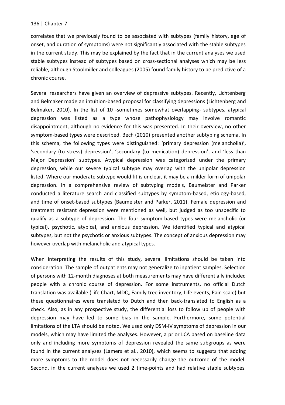correlates that we previously found to be associated with subtypes (family history, age of onset, and duration of symptoms) were not significantly associated with the stable subtypes in the current study. This may be explained by the fact that in the current analyses we used stable subtypes instead of subtypes based on cross-sectional analyses which may be less reliable, although Stoolmiller and colleagues (2005) found family history to be predictive of a chronic course.

Several researchers have given an overview of depressive subtypes. Recently, Lichtenberg and Belmaker made an intuition-based proposal for classifying depressions (Lichtenberg and Belmaker, 2010). In the list of 10 -sometimes somewhat overlapping- subtypes, atypical depression was listed as a type whose pathophysiology may involve romantic disappointment, although no evidence for this was presented. In their overview, no other symptom-based types were described. Bech (2010) presented another subtyping schema. In this schema, the following types were distinguished: 'primary depression (melancholia)', 'secondary (to stress) depression', 'secondary (to medication) depression', and 'less than Major Depression' subtypes. Atypical depression was categorized under the primary depression, while our severe typical subtype may overlap with the unipolar depression listed. Where our moderate subtype would fit is unclear, it may be a milder form of unipolar depression. In a comprehensive review of subtyping models, Baumeister and Parker conducted a literature search and classified subtypes by symptom-based, etiology-based, and time of onset-based subtypes (Baumeister and Parker, 2011). Female depression and treatment resistant depression were mentioned as well, but judged as too unspecific to qualify as a subtype of depression. The four symptom-based types were melancholic (or typical), psychotic, atypical, and anxious depression. We identified typical and atypical subtypes, but not the psychotic or anxious subtypes. The concept of anxious depression may however overlap with melancholic and atypical types.

When interpreting the results of this study, several limitations should be taken into consideration. The sample of outpatients may not generalize to inpatient samples. Selection of persons with 12-month diagnoses at both measurements may have differentially included people with a chronic course of depression. For some instruments, no official Dutch translation was available (Life Chart, MDQ, Family tree inventory, Life events, Pain scale) but these questionnaires were translated to Dutch and then back-translated to English as a check. Also, as in any prospective study, the differential loss to follow up of people with depression may have led to some bias in the sample. Furthermore, some potential limitations of the LTA should be noted. We used only DSM-IV symptoms of depression in our models, which may have limited the analyses. However, a prior LCA based on baseline data only and including more symptoms of depression revealed the same subgroups as were found in the current analyses (Lamers et al., 2010), which seems to suggests that adding more symptoms to the model does not necessarily change the outcome of the model. Second, in the current analyses we used 2 time-points and had relative stable subtypes.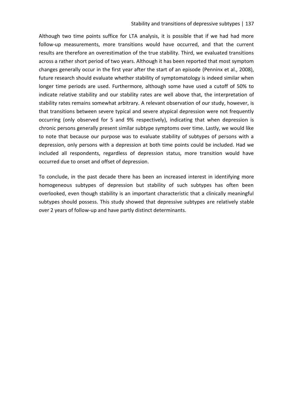Although two time points suffice for LTA analysis, it is possible that if we had had more follow-up measurements, more transitions would have occurred, and that the current results are therefore an overestimation of the true stability. Third, we evaluated transitions across a rather short period of two years. Although it has been reported that most symptom changes generally occur in the first year after the start of an episode (Penninx et al., 2008), future research should evaluate whether stability of symptomatology is indeed similar when longer time periods are used. Furthermore, although some have used a cutoff of 50% to indicate relative stability and our stability rates are well above that, the interpretation of stability rates remains somewhat arbitrary. A relevant observation of our study, however, is that transitions between severe typical and severe atypical depression were not frequently occurring (only observed for 5 and 9% respectively), indicating that when depression is chronic persons generally present similar subtype symptoms over time. Lastly, we would like to note that because our purpose was to evaluate stability of subtypes of persons with a depression, only persons with a depression at both time points could be included. Had we included all respondents, regardless of depression status, more transition would have occurred due to onset and offset of depression.

To conclude, in the past decade there has been an increased interest in identifying more homogeneous subtypes of depression but stability of such subtypes has often been overlooked, even though stability is an important characteristic that a clinically meaningful subtypes should possess. This study showed that depressive subtypes are relatively stable over 2 years of follow-up and have partly distinct determinants.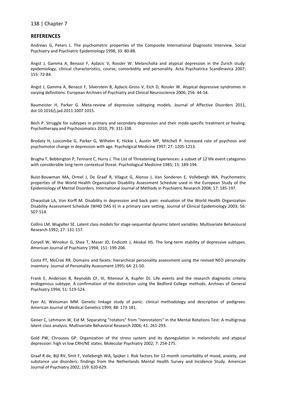#### **REFERENCES**

Andrews G, Peters L. The psychometric properties of the Composite International Diagnostic Interview. Social Psychiatry and Psychiatric Epidemiology 1998; 33: 80-88.

Angst J, Gamma A, Benazzi F, Ajdacic V, Rossler W. Melancholia and atypical depression in the Zurich study: epidemiology, clinical characteristics, course, comorbidity and personality. Acta Psychiatrica Scandinavica 2007; 155: 72-84.

Angst J, Gamma A, Benazzi F, Silverstein B, Ajdacic-Gross V, Eich D, Rossler W. Atypical depressive syndromes in varying definitions. European Archives of Psychiatry and Clinical Neuroscience 2006; 256: 44-54.

Baumeister H, Parker G. Meta-review of depressive subtyping models. Journal of Affective Disorders 2011, doi:10.1016/j.jad.2011.1007.1015.

Bech P. Struggle for subtypes in primary and secondary depression and their mode-specific treatment or healing. Psychotherapy and Psychosomatics 2010; 79: 331-338.

Brodaty H, Luscombe G, Parker G, Wilhelm K, Hickie I, Austin MP, Mitchell P. Increased rate of psychosis and psychomotor change in depression with age. Psycholgical Medicine 1997; 27: 1205-1213.

Brugha T, Bebbington P, Tennant C, Hurry J. The List of Threatening Experiences: a subset of 12 life event categories with considerable long-term contextual threat. Psychological Medicine 1985; 15: 189-194.

Buist-Bouwman MA, Ormel J, De Graaf R, Vilagut G, Alonso J, Van Sonderen E, Vollebergh WA. Psychometric properties of the World Health Organization Disability Assessment Schedule used in the European Study of the Epidemiology of Mental Disorders. International Journal of Methods in Psychiatric Research 2008; 17: 185-197.

Chwastiak LA, Von Korff M. Disability in depression and back pain: evaluation of the World Health Organization Disability Assessment Schedule (WHO DAS II) in a primary care setting. Journal of Clinical Epidemiology 2003; 56: 507-514.

Collins LM, Wugalter SE. Latent class models for stage-sequential dynamic latent variables. Multivariate Behavioural Research 1992; 27: 131-157.

Coryell W, Winokur G, Shea T, Maser JD, Endicott J, Akiskal HS. The long-term stability of depressive subtypes. American Journal of Psychiatry 1994; 151: 199-204.

Costa PT, McCrae RR. Domains and facets: hierarchical personality assessment using the revised NEO personality inventory. Journal of Personality Assessment 1995; 64: 21-50.

Frank E, Anderson B, Reynolds CF, III, Ritenour A, Kupfer DJ. Life events and the research diagnostic criteria endogenous subtype. A confirmation of the distinction using the Bedford College methods. Archives of General Psychiatry 1994; 51: 519-524.

Fyer AJ, Weissman MM. Genetic linkage study of panic: clinical methodology and description of pedigrees. American Journal of Medical Genetics 1999; 88: 173-181.

Geiser C, Lehmann W, Eid M. Separating "rotators" from "nonrotators" in the Mental Rotations Test: A multigroup latent class analysis. Multivariate Behavioral Research 2006; 41: 261-293.

Gold PW, Chrousos GP. Organization of the stress system and its dysregulation in melancholic and atypical depression: high vs low CRH/NE states. Molecular Psychiatry 2002; 7: 254-275.

Graaf R de, Bijl RV, Smit F, Vollebergh WA, Spijker J. Risk factors for 12-month comorbidity of mood, anxiety, and substance use disorders: findings from the Netherlands Mental Health Survey and Incidence Study. American Journal of Psychiatry 2002; 159: 620-629.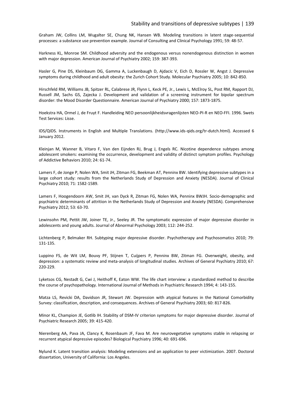Graham JW, Collins LM, Wugalter SE, Chung NK, Hansen WB. Modeling transitions in latent stage-sequential processes: a substance use prevention example. Journal of Consulting and Clinical Psychology 1991; 59: 48-57.

Harkness KL, Monroe SM. Childhood adversity and the endogenous versus nonendogenous distinction in women with major depression. American Journal of Psychiatry 2002; 159: 387-393.

Hasler G, Pine DS, Kleinbaum DG, Gamma A, Luckenbaugh D, Ajdacic V, Eich D, Rossler W, Angst J. Depressive symptoms during childhood and adult obesity: the Zurich Cohort Study. Molecular Psychiatry 2005; 10: 842-850.

Hirschfeld RM, Williams JB, Spitzer RL, Calabrese JR, Flynn L, Keck PE, Jr., Lewis L, McElroy SL, Post RM, Rapport DJ, Russell JM, Sachs GS, Zajecka J. Development and validation of a screening instrument for bipolar spectrum disorder: the Mood Disorder Questionnaire. American Journal of Psychiatry 2000; 157: 1873-1875.

Hoekstra HA, Ormel J, de Fruyt F. Handleiding NEO persoonlijkheidsvragenlijsten NEO-PI-R en NEO-FFI. 1996. Swets Test Services: Lisse.

IDS/QIDS. Instruments in English and Multiple Translations. (http://www.ids-qids.org/tr-dutch.html). Accessed 6 January 2012.

Kleinjan M, Wanner B, Vitaro F, Van den Eijnden RJ, Brug J, Engels RC. Nicotine dependence subtypes among adolescent smokers: examining the occurrence, development and validity of distinct symptom profiles. Psychology of Addictive Behaviors 2010; 24: 61-74.

Lamers F, de Jonge P, Nolen WA, Smit JH, Zitman FG, Beekman AT, Penninx BW. Identifying depressive subtypes in a large cohort study: results from the Netherlands Study of Depression and Anxiety (NESDA). Journal of Clinical Psychiatry 2010; 71: 1582-1589.

Lamers F, Hoogendoorn AW, Smit JH, van Dyck R, Zitman FG, Nolen WA, Penninx BWJH. Socio-demographic and psychiatric determinants of attrition in the Netherlands Study of Depression and Anxiety (NESDA). Comprehensive Psychiatry 2012; 53: 63-70.

Lewinsohn PM, Pettit JW, Joiner TE, Jr., Seeley JR. The symptomatic expression of major depressive disorder in adolescents and young adults. Journal of Abnormal Psychology 2003; 112: 244-252.

Lichtenberg P, Belmaker RH. Subtyping major depressive disorder. Psychotherapy and Psychosomatics 2010; 79: 131-135.

Luppino FS, de Wit LM, Bouvy PF, Stijnen T, Cuijpers P, Penninx BW, Zitman FG. Overweight, obesity, and depression: a systematic review and meta-analysis of longitudinal studies. Archives of General Psychiatry 2010; 67: 220-229.

Lyketsos CG, Nestadt G, Cwi J, Heithoff K, Eaton WW. The life chart interview: a standardized method to describe the course of psychopathology. International Journal of Methods in Psychiatric Research 1994; 4: 143-155.

Matza LS, Revicki DA, Davidson JR, Stewart JW. Depression with atypical features in the National Comorbidity Survey: classification, description, and consequences. Archives of General Psychiatry 2003; 60: 817-826.

Minor KL, Champion JE, Gotlib IH. Stability of DSM-IV criterion symptoms for major depressive disorder. Journal of Psychiatric Research 2005; 39: 415-420.

Nierenberg AA, Pava JA, Clancy K, Rosenbaum JF, Fava M. Are neurovegetative symptoms stable in relapsing or recurrent atypical depressive episodes? Biological Psychiatry 1996; 40: 691-696.

Nylund K. Latent transition analysis: Modeling extensions and an application to peer victimization. 2007. Doctoral dissertation, University of California: Los Angeles.